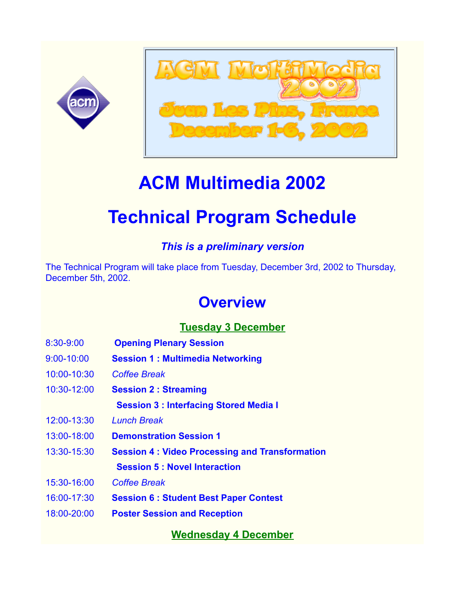



# **ACM Multimedia 2002**

# **Technical Program Schedule**

### *This is a preliminary version*

The Technical Program will take place from Tuesday, December 3rd, 2002 to Thursday, December 5th, 2002.

## **Overview**

### **Tuesday 3 December**

- 8:30-9:00 **Opening Plenary Session**
- 9:00-10:00 **Session 1 : Multimedia Networking**
- 10:00-10:30 *Coffee Break*
- 10:30-12:00 **Session 2 : Streaming**

 **Session 3 : Interfacing Stored Media I**

- 12:00-13:30 *Lunch Break*
- 13:00-18:00 **Demonstration Session 1**
- 13:30-15:30 **Session 4 : Video Processing and Transformation Session 5 : Novel Interaction**
- 15:30-16:00 *Coffee Break*
- 16:00-17:30 **Session 6 : Student Best Paper Contest**
- 18:00-20:00 **Poster Session and Reception**

**Wednesday 4 December**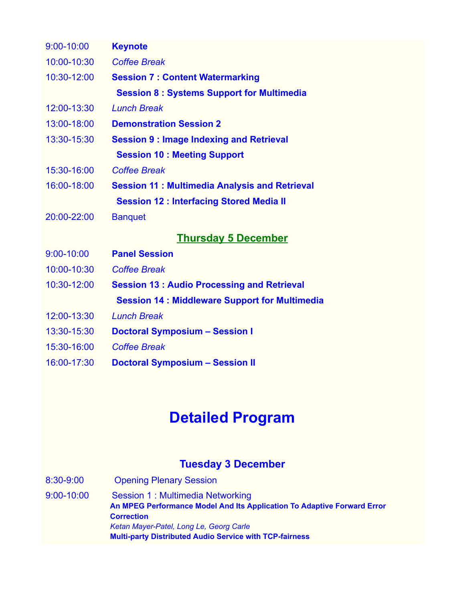| <b>Keynote</b>                                       |
|------------------------------------------------------|
| <b>Coffee Break</b>                                  |
| <b>Session 7: Content Watermarking</b>               |
| <b>Session 8: Systems Support for Multimedia</b>     |
| <b>Lunch Break</b>                                   |
| <b>Demonstration Session 2</b>                       |
| <b>Session 9: Image Indexing and Retrieval</b>       |
| <b>Session 10: Meeting Support</b>                   |
| <b>Coffee Break</b>                                  |
| <b>Session 11: Multimedia Analysis and Retrieval</b> |
| <b>Session 12: Interfacing Stored Media II</b>       |
| <b>Banquet</b>                                       |
| <b>Thursday 5 December</b>                           |
| <b>Panel Session</b>                                 |
| <b>Coffee Break</b>                                  |
| <b>Session 13: Audio Processing and Retrieval</b>    |
| <b>Session 14: Middleware Support for Multimedia</b> |
| <b>Lunch Break</b>                                   |
| <b>Doctoral Symposium - Session I</b>                |
| <b>Coffee Break</b>                                  |
| <b>Doctoral Symposium - Session II</b>               |
|                                                      |

## **Detailed Program**

#### **Tuesday 3 December**

8:30-9:00 Opening Plenary Session

9:00-10:00 Session 1 : Multimedia Networking **An MPEG Performance Model And Its Application To Adaptive Forward Error Correction** *Ketan Mayer-Patel, Long Le, Georg Carle* **Multi-party Distributed Audio Service with TCP-fairness**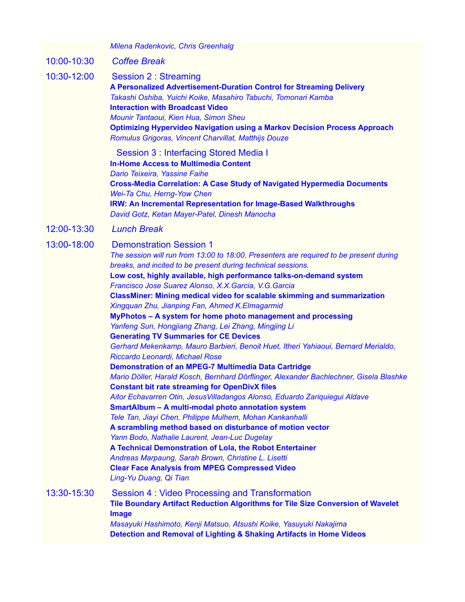|             | Milena Radenkovic, Chris Greenhalg                                                                                                                                                                                                                                                                                                                                                                                                                                                                                                                                                                                                                                                                                                                                                                                                                                                                                                                                                                                                                                                                                                                                                                                                                                                                                                                                                                                                                                                               |
|-------------|--------------------------------------------------------------------------------------------------------------------------------------------------------------------------------------------------------------------------------------------------------------------------------------------------------------------------------------------------------------------------------------------------------------------------------------------------------------------------------------------------------------------------------------------------------------------------------------------------------------------------------------------------------------------------------------------------------------------------------------------------------------------------------------------------------------------------------------------------------------------------------------------------------------------------------------------------------------------------------------------------------------------------------------------------------------------------------------------------------------------------------------------------------------------------------------------------------------------------------------------------------------------------------------------------------------------------------------------------------------------------------------------------------------------------------------------------------------------------------------------------|
| 10:00-10:30 | <b>Coffee Break</b>                                                                                                                                                                                                                                                                                                                                                                                                                                                                                                                                                                                                                                                                                                                                                                                                                                                                                                                                                                                                                                                                                                                                                                                                                                                                                                                                                                                                                                                                              |
| 10:30-12:00 | <b>Session 2: Streaming</b><br>A Personalized Advertisement-Duration Control for Streaming Delivery<br>Takashi Oshiba, Yuichi Koike, Masahiro Tabuchi, Tomonari Kamba<br><b>Interaction with Broadcast Video</b><br>Mounir Tantaoui, Kien Hua, Simon Sheu<br><b>Optimizing Hypervideo Navigation using a Markov Decision Process Approach</b><br>Romulus Grigoras, Vincent Charvillat, Matthijs Douze                                                                                                                                                                                                                                                                                                                                                                                                                                                                                                                                                                                                                                                                                                                                                                                                                                                                                                                                                                                                                                                                                            |
|             | Session 3: Interfacing Stored Media I<br><b>In-Home Access to Multimedia Content</b><br>Dario Teixeira, Yassine Faihe<br><b>Cross-Media Correlation: A Case Study of Navigated Hypermedia Documents</b><br>Wei-Ta Chu, Herng-Yow Chen<br>IRW: An Incremental Representation for Image-Based Walkthroughs<br>David Gotz, Ketan Mayer-Patel, Dinesh Manocha                                                                                                                                                                                                                                                                                                                                                                                                                                                                                                                                                                                                                                                                                                                                                                                                                                                                                                                                                                                                                                                                                                                                        |
| 12:00-13:30 | <b>Lunch Break</b>                                                                                                                                                                                                                                                                                                                                                                                                                                                                                                                                                                                                                                                                                                                                                                                                                                                                                                                                                                                                                                                                                                                                                                                                                                                                                                                                                                                                                                                                               |
| 13:00-18:00 | <b>Demonstration Session 1</b><br>The session will run from 13:00 to 18:00. Presenters are required to be present during<br>breaks, and incited to be present during technical sessions.<br>Low cost, highly available, high performance talks-on-demand system<br>Francisco Jose Suarez Alonso, X.X. Garcia, V.G. Garcia<br>ClassMiner: Mining medical video for scalable skimming and summarization<br>Xingquan Zhu, Jianping Fan, Ahmed K.Elmagarmid<br>MyPhotos - A system for home photo management and processing<br>Yanfeng Sun, Hongjiang Zhang, Lei Zhang, Mingjing Li<br><b>Generating TV Summaries for CE Devices</b><br>Gerhard Mekenkamp, Mauro Barbieri, Benoit Huet, Itheri Yahiaoui, Bernard Merialdo,<br>Riccardo Leonardi, Michael Rose<br><b>Demonstration of an MPEG-7 Multimedia Data Cartridge</b><br>Mario Döller, Harald Kosch, Bernhard Dörflinger, Alexander Bachlechner, Gisela Blashke<br><b>Constant bit rate streaming for OpenDivX files</b><br>Aitor Echavarren Otin, Jesus Villadangos Alonso, Eduardo Zariquiegui Aldave<br>SmartAlbum - A multi-modal photo annotation system<br>Tele Tan, Jiayi Chen, Philippe Mulhem, Mohan Kankanhalli<br>A scrambling method based on disturbance of motion vector<br>Yann Bodo, Nathalie Laurent, Jean-Luc Dugelay<br>A Technical Demonstration of Lola, the Robot Entertainer<br>Andreas Marpaung, Sarah Brown, Christine L. Lisetti<br><b>Clear Face Analysis from MPEG Compressed Video</b><br>Ling-Yu Duang, Qi Tian |
| 13:30-15:30 | Session 4: Video Processing and Transformation<br>Tile Boundary Artifact Reduction Algorithms for Tile Size Conversion of Wavelet<br>Image<br>Masayuki Hashimoto, Kenji Matsuo, Atsushi Koike, Yasuyuki Nakajima<br>Detection and Removal of Lighting & Shaking Artifacts in Home Videos                                                                                                                                                                                                                                                                                                                                                                                                                                                                                                                                                                                                                                                                                                                                                                                                                                                                                                                                                                                                                                                                                                                                                                                                         |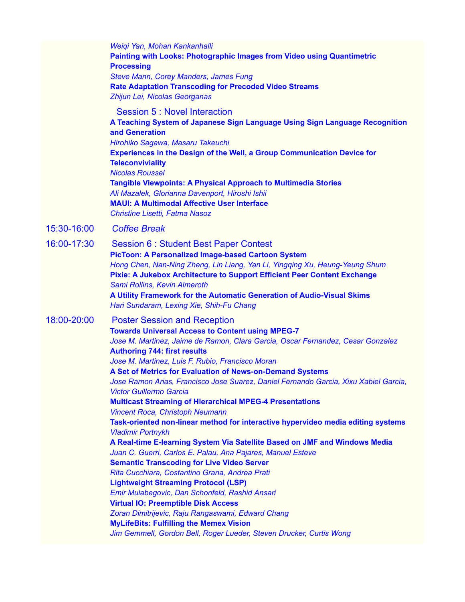|             | Weiqi Yan, Mohan Kankanhalli<br><b>Painting with Looks: Photographic Images from Video using Quantimetric</b><br><b>Processing</b><br><b>Steve Mann, Corey Manders, James Fung</b><br><b>Rate Adaptation Transcoding for Precoded Video Streams</b><br>Zhijun Lei, Nicolas Georganas                                                                                                                                                                                                                                                                                                                                                                                                                                                                                                                                                                                                                                                                                                                                                                                                                                                                                                                                                                                       |
|-------------|----------------------------------------------------------------------------------------------------------------------------------------------------------------------------------------------------------------------------------------------------------------------------------------------------------------------------------------------------------------------------------------------------------------------------------------------------------------------------------------------------------------------------------------------------------------------------------------------------------------------------------------------------------------------------------------------------------------------------------------------------------------------------------------------------------------------------------------------------------------------------------------------------------------------------------------------------------------------------------------------------------------------------------------------------------------------------------------------------------------------------------------------------------------------------------------------------------------------------------------------------------------------------|
|             | Session 5 : Novel Interaction<br>A Teaching System of Japanese Sign Language Using Sign Language Recognition<br>and Generation<br>Hirohiko Sagawa, Masaru Takeuchi<br><b>Experiences in the Design of the Well, a Group Communication Device for</b><br><b>Teleconviviality</b><br><b>Nicolas Roussel</b><br><b>Tangible Viewpoints: A Physical Approach to Multimedia Stories</b><br>Ali Mazalek, Glorianna Davenport, Hiroshi Ishii<br><b>MAUI: A Multimodal Affective User Interface</b><br>Christine Lisetti, Fatma Nasoz                                                                                                                                                                                                                                                                                                                                                                                                                                                                                                                                                                                                                                                                                                                                              |
| 15:30-16:00 | <b>Coffee Break</b>                                                                                                                                                                                                                                                                                                                                                                                                                                                                                                                                                                                                                                                                                                                                                                                                                                                                                                                                                                                                                                                                                                                                                                                                                                                        |
| 16:00-17:30 | <b>Session 6: Student Best Paper Contest</b><br><b>PicToon: A Personalized Image-based Cartoon System</b><br>Hong Chen, Nan-Ning Zheng, Lin Liang, Yan Li, Yingqing Xu, Heung-Yeung Shum<br>Pixie: A Jukebox Architecture to Support Efficient Peer Content Exchange<br>Sami Rollins, Kevin Almeroth<br>A Utility Framework for the Automatic Generation of Audio-Visual Skims<br>Hari Sundaram, Lexing Xie, Shih-Fu Chang                                                                                                                                                                                                                                                                                                                                                                                                                                                                                                                                                                                                                                                                                                                                                                                                                                                 |
| 18:00-20:00 | <b>Poster Session and Reception</b><br><b>Towards Universal Access to Content using MPEG-7</b><br>Jose M. Martinez, Jaime de Ramon, Clara Garcia, Oscar Fernandez, Cesar Gonzalez<br><b>Authoring 744: first results</b><br>Jose M. Martinez, Luis F. Rubio, Francisco Moran<br>A Set of Metrics for Evaluation of News-on-Demand Systems<br>Jose Ramon Arias, Francisco Jose Suarez, Daniel Fernando Garcia, Xixu Xabiel Garcia,<br><b>Victor Guillermo Garcia</b><br><b>Multicast Streaming of Hierarchical MPEG-4 Presentations</b><br>Vincent Roca, Christoph Neumann<br>Task-oriented non-linear method for interactive hypervideo media editing systems<br><b>Vladimir Portnykh</b><br>A Real-time E-learning System Via Satellite Based on JMF and Windows Media<br>Juan C. Guerri, Carlos E. Palau, Ana Pajares, Manuel Esteve<br><b>Semantic Transcoding for Live Video Server</b><br>Rita Cucchiara, Costantino Grana, Andrea Prati<br><b>Lightweight Streaming Protocol (LSP)</b><br>Emir Mulabegovic, Dan Schonfeld, Rashid Ansari<br><b>Virtual IO: Preemptible Disk Access</b><br>Zoran Dimitrijevic, Raju Rangaswami, Edward Chang<br><b>MyLifeBits: Fulfilling the Memex Vision</b><br>Jim Gemmell, Gordon Bell, Roger Lueder, Steven Drucker, Curtis Wong |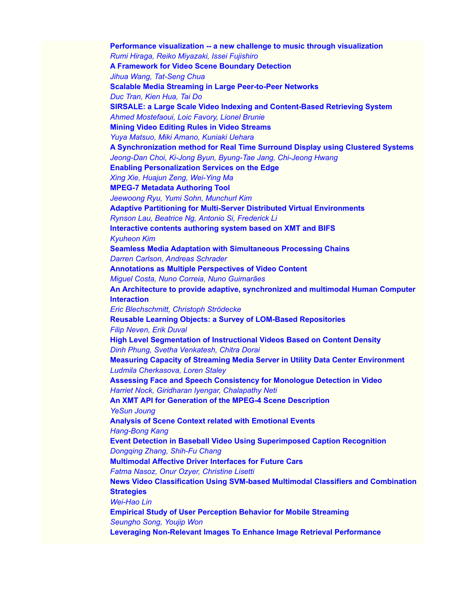**Performance visualization -- a new challenge to music through visualization** *Rumi Hiraga, Reiko Miyazaki, Issei Fujishiro* **A Framework for Video Scene Boundary Detection** *Jihua Wang, Tat-Seng Chua* **Scalable Media Streaming in Large Peer-to-Peer Networks** *Duc Tran, Kien Hua, Tai Do* **SIRSALE: a Large Scale Video Indexing and Content-Based Retrieving System** *Ahmed Mostefaoui, Loic Favory, Lionel Brunie* **Mining Video Editing Rules in Video Streams** *Yuya Matsuo, Miki Amano, Kuniaki Uehara* **A Synchronization method for Real Time Surround Display using Clustered Systems** *Jeong-Dan Choi, Ki-Jong Byun, Byung-Tae Jang, Chi-Jeong Hwang* **Enabling Personalization Services on the Edge** *Xing Xie, Huajun Zeng, Wei-Ying Ma* **MPEG-7 Metadata Authoring Tool** *Jeewoong Ryu, Yumi Sohn, Munchurl Kim* **Adaptive Partitioning for Multi-Server Distributed Virtual Environments** *Rynson Lau, Beatrice Ng, Antonio Si, Frederick Li* **Interactive contents authoring system based on XMT and BIFS** *Kyuheon Kim* **Seamless Media Adaptation with Simultaneous Processing Chains** *Darren Carlson, Andreas Schrader* **Annotations as Multiple Perspectives of Video Content** *Miguel Costa, Nuno Correia, Nuno Guimarães* **An Architecture to provide adaptive, synchronized and multimodal Human Computer Interaction** *Eric Blechschmitt, Christoph Strödecke* **Reusable Learning Objects: a Survey of LOM-Based Repositories** *Filip Neven, Erik Duval* **High Level Segmentation of Instructional Videos Based on Content Density** *Dinh Phung, Svetha Venkatesh, Chitra Dorai* **Measuring Capacity of Streaming Media Server in Utility Data Center Environment** *Ludmila Cherkasova, Loren Staley* **Assessing Face and Speech Consistency for Monologue Detection in Video** *Harriet Nock, Giridharan Iyengar, Chalapathy Neti* **An XMT API for Generation of the MPEG-4 Scene Description** *YeSun Joung* **Analysis of Scene Context related with Emotional Events** *Hang-Bong Kang* **Event Detection in Baseball Video Using Superimposed Caption Recognition** *Dongqing Zhang, Shih-Fu Chang* **Multimodal Affective Driver Interfaces for Future Cars** *Fatma Nasoz, Onur Ozyer, Christine Lisetti* **News Video Classification Using SVM-based Multimodal Classifiers and Combination Strategies** *Wei-Hao Lin* **Empirical Study of User Perception Behavior for Mobile Streaming** *Seungho Song, Youjip Won* **Leveraging Non-Relevant Images To Enhance Image Retrieval Performance**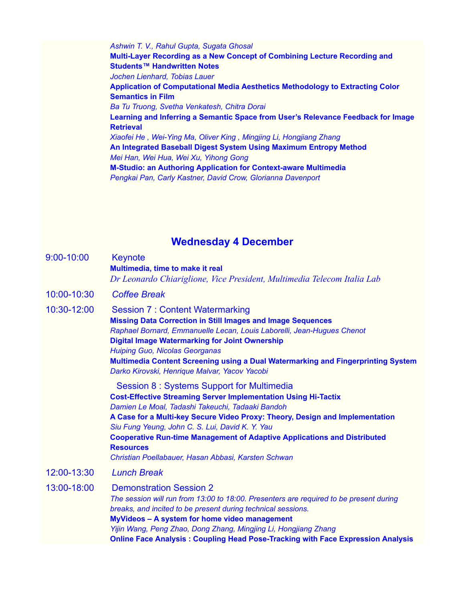*Ashwin T. V., Rahul Gupta, Sugata Ghosal* **Multi-Layer Recording as a New Concept of Combining Lecture Recording and Students™ Handwritten Notes** *Jochen Lienhard, Tobias Lauer* **Application of Computational Media Aesthetics Methodology to Extracting Color Semantics in Film** *Ba Tu Truong, Svetha Venkatesh, Chitra Dorai* **Learning and Inferring a Semantic Space from User's Relevance Feedback for Image Retrieval** *Xiaofei He , Wei-Ying Ma, Oliver King , Mingjing Li, Hongjiang Zhang* **An Integrated Baseball Digest System Using Maximum Entropy Method** *Mei Han, Wei Hua, Wei Xu, Yihong Gong* **M-Studio: an Authoring Application for Context-aware Multimedia** *Pengkai Pan, Carly Kastner, David Crow, Glorianna Davenport*

#### **Wednesday 4 December**

| 9:00-10:00  | <b>Keynote</b><br>Multimedia, time to make it real<br>Dr Leonardo Chiariglione, Vice President, Multimedia Telecom Italia Lab                                                                                                                                                                                                                                                                                                                                           |
|-------------|-------------------------------------------------------------------------------------------------------------------------------------------------------------------------------------------------------------------------------------------------------------------------------------------------------------------------------------------------------------------------------------------------------------------------------------------------------------------------|
| 10:00-10:30 | <b>Coffee Break</b>                                                                                                                                                                                                                                                                                                                                                                                                                                                     |
| 10:30-12:00 | <b>Session 7: Content Watermarking</b><br><b>Missing Data Correction in Still Images and Image Sequences</b><br>Raphael Bornard, Emmanuelle Lecan, Louis Laborelli, Jean-Hugues Chenot<br><b>Digital Image Watermarking for Joint Ownership</b><br><b>Huiping Guo, Nicolas Georganas</b><br>Multimedia Content Screening using a Dual Watermarking and Fingerprinting System<br>Darko Kirovski, Henrique Malvar, Yacov Yacobi                                           |
|             | Session 8: Systems Support for Multimedia<br><b>Cost-Effective Streaming Server Implementation Using Hi-Tactix</b><br>Damien Le Moal, Tadashi Takeuchi, Tadaaki Bandoh<br>A Case for a Multi-key Secure Video Proxy: Theory, Design and Implementation<br>Siu Fung Yeung, John C. S. Lui, David K. Y. Yau<br><b>Cooperative Run-time Management of Adaptive Applications and Distributed</b><br><b>Resources</b><br>Christian Poellabauer, Hasan Abbasi, Karsten Schwan |
| 12:00-13:30 | <b>Lunch Break</b>                                                                                                                                                                                                                                                                                                                                                                                                                                                      |
| 13:00-18:00 | <b>Demonstration Session 2</b><br>The session will run from 13:00 to 18:00. Presenters are required to be present during<br>breaks, and incited to be present during technical sessions.<br>MyVideos - A system for home video management<br>Yijin Wang, Peng Zhao, Dong Zhang, Mingjing Li, Hongjiang Zhang<br><b>Online Face Analysis: Coupling Head Pose-Tracking with Face Expression Analysis</b>                                                                  |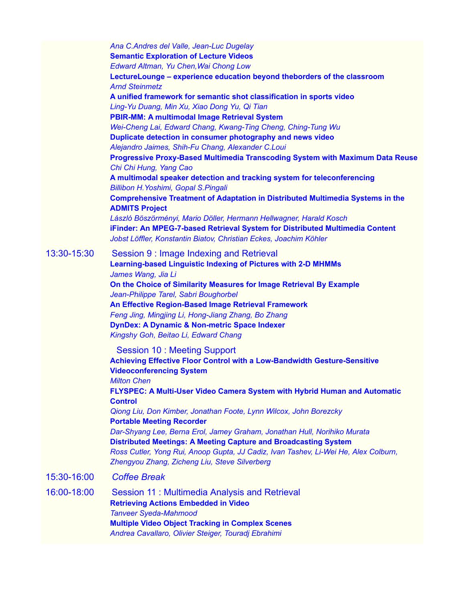|             | Ana C.Andres del Valle, Jean-Luc Dugelay<br><b>Semantic Exploration of Lecture Videos</b><br>Edward Altman, Yu Chen, Wai Chong Low<br>LectureLounge - experience education beyond theborders of the classroom<br><b>Arnd Steinmetz</b><br>A unified framework for semantic shot classification in sports video<br>Ling-Yu Duang, Min Xu, Xiao Dong Yu, Qi Tian<br>PBIR-MM: A multimodal Image Retrieval System<br>Wei-Cheng Lai, Edward Chang, Kwang-Ting Cheng, Ching-Tung Wu<br>Duplicate detection in consumer photography and news video<br>Alejandro Jaimes, Shih-Fu Chang, Alexander C.Loui<br>Progressive Proxy-Based Multimedia Transcoding System with Maximum Data Reuse<br>Chi Chi Hung, Yang Cao<br>A multimodal speaker detection and tracking system for teleconferencing<br><b>Billibon H. Yoshimi, Gopal S. Pingali</b><br><b>Comprehensive Treatment of Adaptation in Distributed Multimedia Systems in the</b><br><b>ADMITS Project</b><br>László Böszörményi, Mario Döller, Hermann Hellwagner, Harald Kosch<br>iFinder: An MPEG-7-based Retrieval System for Distributed Multimedia Content<br>Jobst Löffler, Konstantin Biatov, Christian Eckes, Joachim Köhler |
|-------------|--------------------------------------------------------------------------------------------------------------------------------------------------------------------------------------------------------------------------------------------------------------------------------------------------------------------------------------------------------------------------------------------------------------------------------------------------------------------------------------------------------------------------------------------------------------------------------------------------------------------------------------------------------------------------------------------------------------------------------------------------------------------------------------------------------------------------------------------------------------------------------------------------------------------------------------------------------------------------------------------------------------------------------------------------------------------------------------------------------------------------------------------------------------------------------------|
| 13:30-15:30 | Session 9 : Image Indexing and Retrieval<br><b>Learning-based Linguistic Indexing of Pictures with 2-D MHMMs</b><br>James Wang, Jia Li<br>On the Choice of Similarity Measures for Image Retrieval By Example<br>Jean-Philippe Tarel, Sabri Boughorbel<br>An Effective Region-Based Image Retrieval Framework<br>Feng Jing, Mingjing Li, Hong-Jiang Zhang, Bo Zhang<br><b>DynDex: A Dynamic &amp; Non-metric Space Indexer</b><br>Kingshy Goh, Beitao Li, Edward Chang                                                                                                                                                                                                                                                                                                                                                                                                                                                                                                                                                                                                                                                                                                               |
|             | <b>Session 10: Meeting Support</b><br><b>Achieving Effective Floor Control with a Low-Bandwidth Gesture-Sensitive</b><br><b>Videoconferencing System</b><br><b>Milton Chen</b><br>FLYSPEC: A Multi-User Video Camera System with Hybrid Human and Automatic<br><b>Control</b><br>Qiong Liu, Don Kimber, Jonathan Foote, Lynn Wilcox, John Borezcky<br><b>Portable Meeting Recorder</b><br>Dar-Shyang Lee, Berna Erol, Jamey Graham, Jonathan Hull, Norihiko Murata<br><b>Distributed Meetings: A Meeting Capture and Broadcasting System</b><br>Ross Cutler, Yong Rui, Anoop Gupta, JJ Cadiz, Ivan Tashev, Li-Wei He, Alex Colburn,<br>Zhengyou Zhang, Zicheng Liu, Steve Silverberg                                                                                                                                                                                                                                                                                                                                                                                                                                                                                                 |
| 15:30-16:00 | <b>Coffee Break</b>                                                                                                                                                                                                                                                                                                                                                                                                                                                                                                                                                                                                                                                                                                                                                                                                                                                                                                                                                                                                                                                                                                                                                                  |
| 16:00-18:00 | Session 11: Multimedia Analysis and Retrieval<br><b>Retrieving Actions Embedded in Video</b><br><b>Tanveer Syeda-Mahmood</b><br><b>Multiple Video Object Tracking in Complex Scenes</b><br>Andrea Cavallaro, Olivier Steiger, Touradj Ebrahimi                                                                                                                                                                                                                                                                                                                                                                                                                                                                                                                                                                                                                                                                                                                                                                                                                                                                                                                                       |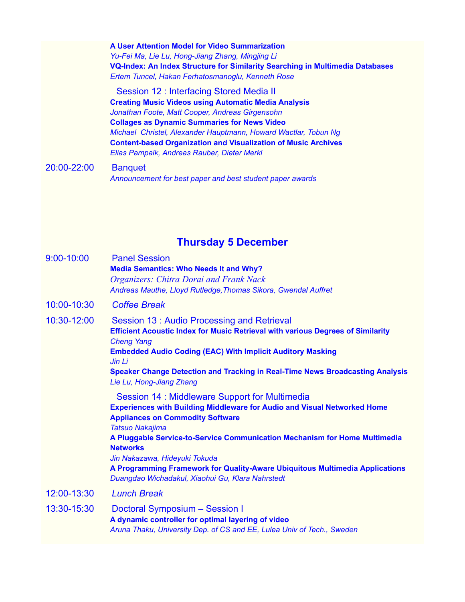**A User Attention Model for Video Summarization** *Yu-Fei Ma, Lie Lu, Hong-Jiang Zhang, Mingjing Li* **VQ-Index: An Index Structure for Similarity Searching in Multimedia Databases** *Ertem Tuncel, Hakan Ferhatosmanoglu, Kenneth Rose*

 Session 12 : Interfacing Stored Media II **Creating Music Videos using Automatic Media Analysis** *Jonathan Foote, Matt Cooper, Andreas Girgensohn* **Collages as Dynamic Summaries for News Video** *Michael Christel, Alexander Hauptmann, Howard Wactlar, Tobun Ng* **Content-based Organization and Visualization of Music Archives** *Elias Pampalk, Andreas Rauber, Dieter Merkl*

20:00-22:00 Banquet *Announcement for best paper and best student paper awards*

#### **Thursday 5 December**

| 9:00-10:00  | <b>Panel Session</b><br><b>Media Semantics: Who Needs It and Why?</b><br><b>Organizers: Chitra Dorai and Frank Nack</b><br>Andreas Mauthe, Lloyd Rutledge, Thomas Sikora, Gwendal Auffret                                                                                                                                                                                                                                                                                    |
|-------------|------------------------------------------------------------------------------------------------------------------------------------------------------------------------------------------------------------------------------------------------------------------------------------------------------------------------------------------------------------------------------------------------------------------------------------------------------------------------------|
| 10:00-10:30 | <b>Coffee Break</b>                                                                                                                                                                                                                                                                                                                                                                                                                                                          |
| 10:30-12:00 | Session 13 : Audio Processing and Retrieval<br><b>Efficient Acoustic Index for Music Retrieval with various Degrees of Similarity</b><br><b>Cheng Yang</b><br><b>Embedded Audio Coding (EAC) With Implicit Auditory Masking</b><br>Jin Li<br>Speaker Change Detection and Tracking in Real-Time News Broadcasting Analysis<br>Lie Lu, Hong-Jiang Zhang                                                                                                                       |
|             | Session 14 : Middleware Support for Multimedia<br><b>Experiences with Building Middleware for Audio and Visual Networked Home</b><br><b>Appliances on Commodity Software</b><br><b>Tatsuo Nakajima</b><br>A Pluggable Service-to-Service Communication Mechanism for Home Multimedia<br><b>Networks</b><br>Jin Nakazawa, Hideyuki Tokuda<br>A Programming Framework for Quality-Aware Ubiquitous Multimedia Applications<br>Duangdao Wichadakul, Xiaohui Gu, Klara Nahrstedt |
| 12:00-13:30 | <b>Lunch Break</b>                                                                                                                                                                                                                                                                                                                                                                                                                                                           |
| 13:30-15:30 | Doctoral Symposium - Session I<br>A dynamic controller for optimal layering of video<br>Aruna Thaku, University Dep. of CS and EE, Lulea Univ of Tech., Sweden                                                                                                                                                                                                                                                                                                               |